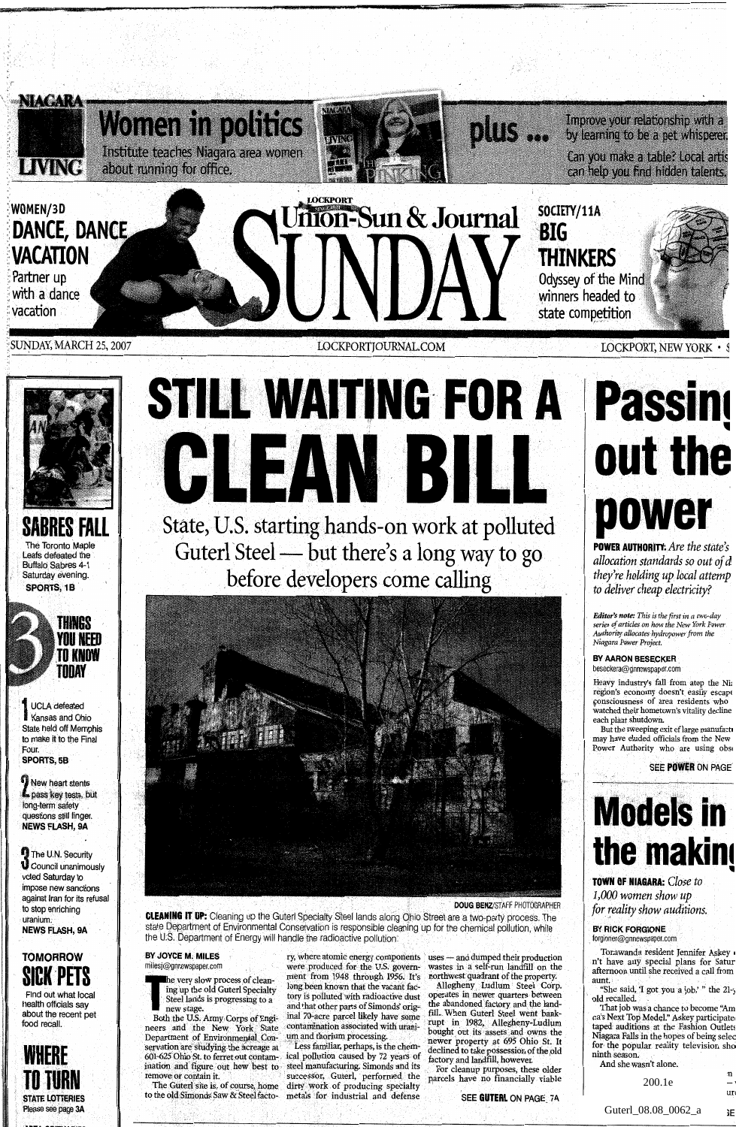



**SABRES FALL**  The Toronto Maple Leafs defeated the Buffalo Sabres 4-1 Saturday evening. **SPORTS, 1B** 



**TIIN68 YOU WEED**  TO KNOW<br>Today

UCLA defeated Kansas and Ohio State held off Memphis to make it to the Final Four. SPORTS, 5B

New heart stents pass key tests, but long-term safety stions still linger. **NEWS FLASH, 9A** 

The U.N. Security Council unanimously voted Saturday to impose new sanctions against Iran for its refusal to stop enriching uranium **NEWS FLASH, 9A** 

**TOMORROW SICK PETS** 

Find out what local health officials sav about the recent pet food recall.



Please see page 3A

# **STILL WAITING FOR A** State, U.S. starting hands-on work at polluted Guterl State, U.S. starting hands-on work at pollute<br>Guterl Steel — but there's a long way to go

.before developers come calling



**CLEANING IT UP:** Cleaning up the Guterl Specialty Steel lands along Ohio Street are a two-party process. The state Depaffment of Environmental Conservation is responsible cleaning up for the chemical pollution, while



eers and the New York State communication associated with urami-<br>epartment of Environmental Con- um and thorium processing.<br>ervation are studying the acreage at Tess familiar, perhaps, is the chem-<br>prevation are studying t

to the old Simbnds Saw & Steel facto- metals for industrial and defense **SEE GUTERL** ON **PAGE- 7A** 

The very slow process of clean-<br>
The very slow process of clean-<br>
Iong been known that the vacant factorized and the property.<br>
In the vacant factorized the property.<br>
In the vacant factorized the property of the property. long been known that the vacant fac-<br>tory is polluted with radioactive dust Steel lands is progressing to a<br>steel start of the part of the distribution of the start of the abandoned factory and the land-<br>new stage.<br>In and that other parts of Simonds' orig-<br>the abandoned factory and the land-<br>new s new stage. and that other parts of Simonds' orig-<br>Both the U.S. Army Corps of Engi- inal 70-acre parcel likely have some<br>neers and the New York State contamination associated with urani-<br>Department of Environmental Con- um

servation are studying the acreage at Less familiar, perhaps, is the chem-<br>601-625 Ohio St. It despites the contain-<br>601-625 Ohio St. to ferret out contam-<br>601-625 Ohio St. to ferret out contam-<br>601-625 Ohio St. to ferret

e U.S. Department of Energy will handle the radioactive pollution.<br>**BY JOYCE M. MILES ry,** where atomic energy components uses - and dumped their production **BY JOYCE M. MILES** ry, where atomic energy components uses - and dumped their production milesj@gnnewspaper.com were produced for the U.S. govern- wastes in a self-run landfill on the

# **Passing out the power**

**POWER AUTHORITY:** *Are the state's allocation standards so out ofd they're holding up local attemp to deliver cheap electricity?* 

*Editor's note: This is thefirst in a two-day series of articles on how the New York Power Authority allocates hydropowerfrom the Niagara Power Project.* 

### **BY AARON BESECKER**  beseckera@gnnewspaper.com

reavy industry's fall from atop the Nia<br>egion's economy doesn't easily escape<br>ponsciousness of area residents who<br>partched their hometown's vitality decline each plant shutdown.

But the sweeping exit of large manufacti may have eluded officials from the New ower Authority who are using observed

**SEE POWER ON PAGE y-"** -------

# **Models in the makind**

**TOWN OF NIAGARA:** Close to *1,000 women show up for reality show auditions.* 

### **BY RICK FORGIONE**

forgioner@gnnewspaper.com

Tonawanda resident Jennifer Askey **I**<br>
It have any special plans for Satur<br>
iternoon until she received a call from<br>
unt.

"She said, 'I got you a job,' " the 21-y old recalled.  $\,$ 

That job was a chance to become **"Am**  Falls of was a chance to become American<br>taped auditions at the Fashion Outlets<br>fiagara Falls in the hopes of being selecfor the popular reality television sho ninth season. inth season.<br>And she wasn't alone.<br>200.1e

200.1e <br>Guterl\_08.08\_0062\_a **E**